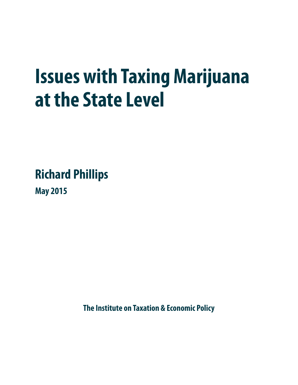# **Issues with Taxing Marijuana at the State Level**

**Richard Phillips** 

**May 2015**

**The Institute on Taxation & Economic Policy**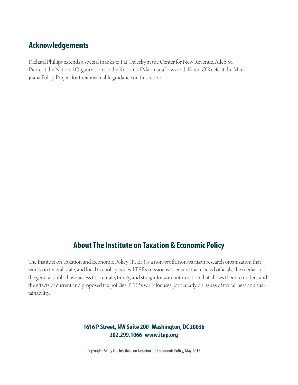## **Acknowledgements**

Richard Phillips extends a special thanks to Pat Oglesby at the Center for New Revenue, Allen St. Pierre at the National Organization for the Reform of Marijuana Laws and Karen O'Keefe at the Marijuana Policy Project for their invaluable guidance on this report.

## **About The Institute on Taxation & Economic Policy**

The Institute on Taxation and Economic Policy (ITEP) is a non-profit, non-partisan research organization that works on federal, state, and local tax policy issues. ITEP's mission is to ensure that elected officials, the media, and the general public have access to accurate, timely, and straightforward information that allows them to understand the effects of current and proposed tax policies. ITEP's work focuses particularly on issues of tax fairness and sustainability.

#### **1616 P Street, NW Suite 200 Washington, DC 20036 202.299.1066 www.itep.org**

Copyright © by the Institute on Taxation and Economic Policy, May 2015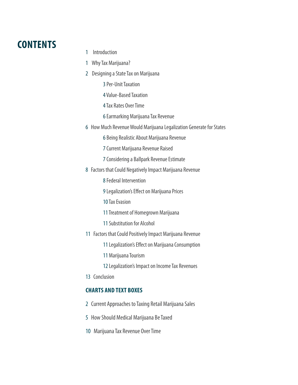# **CONTENTS**

- 1 Introduction
- 1 Why Tax Marijuana?
- 2 Designing a State Tax on Marijuana
	- 3Per-Unit Taxation
	- 4 Value-Based Taxation
	- 4Tax Rates Over Time
	- 6Earmarking Marijuana Tax Revenue
- 6 How Much Revenue Would Marijuana Legalization Generate for States
	- 6 Being Realistic About Marijuana Revenue
	- 7 Current Marijuana Revenue Raised
	- 7 Considering a Ballpark Revenue Estimate
- 8 Factors that Could Negatively Impact Marijuana Revenue
	- 8 Federal Intervention
	- 9 Legalization's Effect on Marijuana Prices
	- 10 Tax Evasion
	- 11 Treatment of Homegrown Marijuana
	- 11 Substitution for Alcohol
- 11 Factors that Could Positively Impact Marijuana Revenue
	- 11 Legalization's Effect on Marijuana Consumption
	- 11 Marijuana Tourism
	- 12 Legalization's Impact on Income Tax Revenues
- 13 Conclusion

#### **CHARTS AND TEXT BOXES**

- 2 Current Approaches to Taxing Retail Marijuana Sales
- 5 How Should Medical Marijuana Be Taxed
- 10 Marijuana Tax Revenue Over Time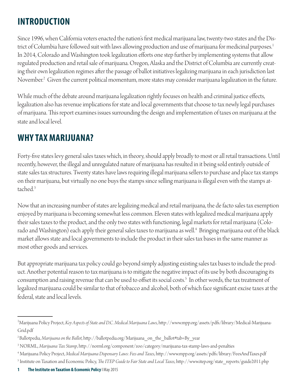# **INTRODUCTION**

Since 1996, when California voters enacted the nation's first medical marijuana law, twenty-two states and the District of Columbia have followed suit with laws allowing production and use of marijuana for medicinal purposes.<sup>1</sup> In 2014, Colorado and Washington took legalization efforts one step further by implementing systems that allow regulated production and retail sale of marijuana. Oregon, Alaska and the District of Columbia are currently creating their own legalization regimes after the passage of ballot initiatives legalizing marijuana in each jurisdiction last November.2 Given the current political momentum, more states may consider marijuana legalization in the future.

While much of the debate around marijuana legalization rightly focuses on health and criminal justice effects, legalization also has revenue implications for state and local governments that choose to tax newly legal purchases of marijuana. This report examines issues surrounding the design and implementation of taxes on marijuana at the state and local level.

## **WHY TAX MARIJUANA?**

Forty-five states levy general sales taxes which, in theory, should apply broadly to most or all retail transactions. Until recently, however, the illegal and unregulated nature of marijuana has resulted in it being sold entirely outside of state sales tax structures. Twenty states have laws requiring illegal marijuana sellers to purchase and place tax stamps on their marijuana, but virtually no one buys the stamps since selling marijuana is illegal even with the stamps attached.3

Now that an increasing number of states are legalizing medical and retail marijuana, the de facto sales tax exemption enjoyed by marijuana is becoming somewhat less common. Eleven states with legalized medical marijuana apply their sales taxes to the product, and the only two states with functioning, legal markets for retail marijuana (Colorado and Washington) each apply their general sales taxes to marijuana as well.<sup>4</sup> Bringing marijuana out of the black market allows state and local governments to include the product in their sales tax bases in the same manner as most other goods and services.

But appropriate marijuana tax policy could go beyond simply adjusting existing sales tax bases to include the product. Another potential reason to tax marijuana is to mitigate the negative impact of its use by both discouraging its consumption and raising revenue that can be used to offset its social costs.<sup>5</sup> In other words, the tax treatment of legalized marijuana could be similar to that of tobacco and alcohol, both of which face significant excise taxes at the federal, state and local levels.

<sup>&</sup>lt;sup>1</sup>Marijuana Policy Project, *Key Aspects of State and D.C. Medical Marijuana Laws*, http://www.mpp.org/assets/pdfs/library/Medical-Marijuana-Grid.pdf

<sup>&</sup>lt;sup>2</sup> Ballotpedia, *Marijuana on the Ballot*, http://ballotpedia.org/Marijuana\_on\_the\_ballot#tab=By\_year

<sup>&</sup>lt;sup>3</sup>NORML*, Marijuana Tax Stamp,* http://norml.org/component/zoo/category/marijuana-tax-stamp-laws-and-penalties

<sup>&</sup>lt;sup>4</sup>Marijuana Policy Project*, Medical Marijuana Dispensary Laws: Fees and Taxes,* http://www.mpp.org/assets/pdfs/library/FeesAndTaxes.pdf <sup>5</sup> Institute on Taxation and Economic Policy, *The ITEP Guide to Fair State and Local Taxes*, http://www.itep.org/state\_reports/guide2011.php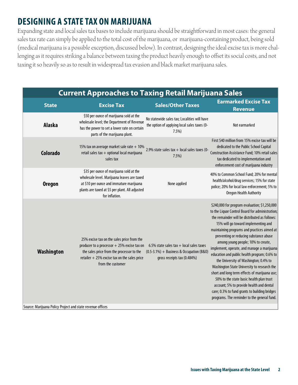# **DESIGNING A STATE TAX ON MARIJUANA**

Expanding state and local sales tax bases to include marijuana should be straightforward in most cases: the general sales tax rate can simply be applied to the total cost of the marijuana, or marijuana-containing product, being sold (medical marijuana is a possible exception, discussed below). In contrast, designing the ideal excise tax is more challenging as it requires striking a balance between taxing the product heavily enough to offset its social costs, and not taxing it so heavily so as to result in widespread tax evasion and black market marijuana sales.

| Current Approaches to Taxing Retail Marijuana Sales |                   |                          |                                        |  |  |
|-----------------------------------------------------|-------------------|--------------------------|----------------------------------------|--|--|
| <b>State</b>                                        | <b>Excise Tax</b> | <b>Sales/Other Taxes</b> | <b>Earmarked Excise Tax</b>            |  |  |
|                                                     |                   |                          | <b>International Contract Contract</b> |  |  |

| \$50 per ounce of marijuana sold at the<br>No statewide sales tax; Localities will have<br>wholesale level; the Department of Revenue<br><b>Alaska</b><br>the option of applying local sales taxes (0-<br>Not earmarked<br>has the power to set a lower rate on certain<br>7.5%<br>parts of the marijuana plant.<br>First \$40 million from 15% excise tax will be<br>dedicated to the Public School Capital<br>15% tax on average market sale rate $+ 10\%$ 2.9% state sales tax + local sales taxes (0-<br><b>Colorado</b><br>retail sales tax + optional local marijuana<br>Construction Assistance Fund; 10% retail sales<br>7.5%<br>tax dedicated to implementation and<br>sales tax<br>enforcement cost of marijuana industry<br>\$35 per ounce of marijuana sold at the<br>40% to Common School Fund; 20% for mental<br>wholesale level. Marijuana leaves are taxed<br>health/alcohol/drug services; 15% for state<br>at \$10 per ounce and immature marijuana<br><b>Oregon</b><br>None applied<br>police; 20% for local law enforcement; 5% to<br>plants are taxed at \$5 per plant. All adjusted<br>Oregon Health Authority<br>for inflation.<br>\$240,000 for program evaluation; \$1,250,000<br>to the Liquor Control Board for administration;<br>the remainder will be distributed as follows:<br>15% will go toward implementing and<br>maintaining programs and practices aimed at<br>preventing or reducing substance abuse<br>25% excise tax on the sales price from the<br>among young people; 10% to create,<br>producer to a processor $+25%$ excise tax on<br>6.5% state sales tax $+$ local sales taxes<br>implement, operate, and manage a marijuana<br>Washington<br>the sales price from the processor to the<br>$(0.5-3.1\%) + Business & Occupation (B&0)$<br>education and public health program; 0.6% to<br>retailer $+25%$ excise tax on the sales price<br>gross receipts tax (0.484%)<br>the University of Washington; 0.4% to<br>from the customer<br>Washington State University to research the<br>short and long term effects of marijuana use;<br>50% to the state basic health plan trust<br>account; 5% to provide health and dental<br>care; 0.3% to fund grants to building bridges<br>programs. The reminder to the general fund.<br>Source: Marijuana Policy Project and state revenue offices | <b>State</b> | <b>Excise Tax</b> | <b>Sales/Other Taxes</b> | <b>Revenue</b> |
|-------------------------------------------------------------------------------------------------------------------------------------------------------------------------------------------------------------------------------------------------------------------------------------------------------------------------------------------------------------------------------------------------------------------------------------------------------------------------------------------------------------------------------------------------------------------------------------------------------------------------------------------------------------------------------------------------------------------------------------------------------------------------------------------------------------------------------------------------------------------------------------------------------------------------------------------------------------------------------------------------------------------------------------------------------------------------------------------------------------------------------------------------------------------------------------------------------------------------------------------------------------------------------------------------------------------------------------------------------------------------------------------------------------------------------------------------------------------------------------------------------------------------------------------------------------------------------------------------------------------------------------------------------------------------------------------------------------------------------------------------------------------------------------------------------------------------------------------------------------------------------------------------------------------------------------------------------------------------------------------------------------------------------------------------------------------------------------------------------------------------------------------------------------------------------------------------------------------------------------------------------------------------------------------------------------------------------------------|--------------|-------------------|--------------------------|----------------|
|                                                                                                                                                                                                                                                                                                                                                                                                                                                                                                                                                                                                                                                                                                                                                                                                                                                                                                                                                                                                                                                                                                                                                                                                                                                                                                                                                                                                                                                                                                                                                                                                                                                                                                                                                                                                                                                                                                                                                                                                                                                                                                                                                                                                                                                                                                                                           |              |                   |                          |                |
|                                                                                                                                                                                                                                                                                                                                                                                                                                                                                                                                                                                                                                                                                                                                                                                                                                                                                                                                                                                                                                                                                                                                                                                                                                                                                                                                                                                                                                                                                                                                                                                                                                                                                                                                                                                                                                                                                                                                                                                                                                                                                                                                                                                                                                                                                                                                           |              |                   |                          |                |
|                                                                                                                                                                                                                                                                                                                                                                                                                                                                                                                                                                                                                                                                                                                                                                                                                                                                                                                                                                                                                                                                                                                                                                                                                                                                                                                                                                                                                                                                                                                                                                                                                                                                                                                                                                                                                                                                                                                                                                                                                                                                                                                                                                                                                                                                                                                                           |              |                   |                          |                |
|                                                                                                                                                                                                                                                                                                                                                                                                                                                                                                                                                                                                                                                                                                                                                                                                                                                                                                                                                                                                                                                                                                                                                                                                                                                                                                                                                                                                                                                                                                                                                                                                                                                                                                                                                                                                                                                                                                                                                                                                                                                                                                                                                                                                                                                                                                                                           |              |                   |                          |                |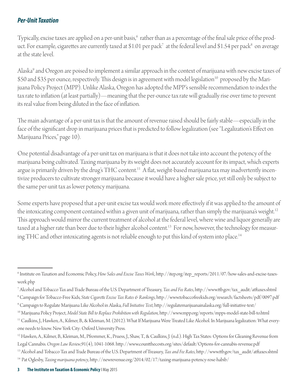#### *Per-Unit Taxation*

Typically, excise taxes are applied on a per-unit basis, $^6\,$  rather than as a percentage of the final sale price of the product. For example, cigarettes are currently taxed at \$1.01 per pack<sup>7</sup> at the federal level and \$1.54 per pack $^8$  on average at the state level.

Alaska<sup>9</sup> and Oregon are poised to implement a similar approach in the context of marijuana with new excise taxes of \$50 and \$35 per ounce, respectively. This design is in agreement with model legislation<sup>10</sup> proposed by the Marijuana Policy Project (MPP). Unlike Alaska, Oregon has adopted the MPP's sensible recommendation to index the tax rate to inflation (at least partially)—meaning that the per-ounce tax rate will gradually rise over time to prevent its real value from being diluted in the face of inflation.

The main advantage of a per-unit tax is that the amount of revenue raised should be fairly stable—especially in the face of the significant drop in marijuana prices that is predicted to follow legalization (see "Legalization's Effect on Marijuana Prices," page 10).

One potential disadvantage of a per-unit tax on marijuana is that it does not take into account the potency of the marijuana being cultivated. Taxing marijuana by its weight does not accurately account for its impact, which experts argue is primarily driven by the drug's THC content.<sup>11</sup> A flat, weight-based marijuana tax may inadvertently incentivize producers to cultivate stronger marijuana because it would have a higher sale price, yet still only be subject to the same per-unit tax as lower potency marijuana.

Some experts have proposed that a per-unit excise tax would work more effectively if it was applied to the amount of the intoxicating component contained within a given unit of marijuana, rather than simply the marijuana's weight.<sup>12</sup> This approach would mirror the current treatment of alcohol at the federal level, where wine and liquor generally are taxed at a higher rate than beer due to their higher alcohol content.<sup>13</sup> For now, however, the technology for measuring THC and other intoxicating agents is not reliable enough to put this kind of system into place.<sup>14</sup>

<sup>10</sup> Marijuana Policy Project, Model State Bill to Replace Prohibition with Regulation, http://www.mpp.org/reports/mpps-model-state-bill-to.html

<sup>12</sup> Hawken, A., Kilmer, B., Kleiman, M., Pfrommer, K., Pruess, J., Shaw, T., & Caulkins, J. (n.d.). High Tax States: Options for Gleaning Revenue from Legal Cannabis. Oregon Law Review,91(4), 1041-1068. http://www.countthecosts.org/sites/default/Options-for-cannabis-revenue.pdf

<sup>&</sup>lt;sup>6</sup> Institute on Taxation and Economic Policy, *How Sales and Excise Taxes Work*, http://itep.org/itep\_reports/2011/07/how-sales-and-excise-taxeswork.php

<sup>&</sup>lt;sup>7</sup> Alcohol and Tobacco Tax and Trade Bureau of the U.S. Department of Treasury, *Tax and Fee Rates*, http://www.ttb.gov/tax\_audit/atftaxes.shtml

<sup>&</sup>lt;sup>8</sup> Campaign for Tobacco-Free Kids, S*tate Cigarette Excise Tax Rates & Rankings*, http://www.tobaccofreekids.org/research/factsheets/pdf/0097.pdf <sup>9</sup> Campaign to Regulate Marijuana Like Alcohol in Alaska, *Full Initiative Text*, http://regulatemarijuanainalaska.org/full-initiative-text/

<sup>&</sup>lt;sup>11</sup> Caulkins, J., Hawken, A., Kilmer, B., & Kleiman, M. (2012). What If Marijuana Were Treated Like Alcohol. In Marijuana legalization: What everyone needs to know. New York City: Oxford University Press.

<sup>&</sup>lt;sup>13</sup> Alcohol and Tobacco Tax and Trade Bureau of the U.S. Department of Treasury, *Tax and Fee Rates*, http://www.ttb.gov/tax\_audit/atftaxes.shtml

<sup>&</sup>lt;sup>14</sup> Pat Oglesby, *Taxing marijuana potency*, http://newrevenue.org/2014/02/17/taxing-marijuana-potency-rose-habib/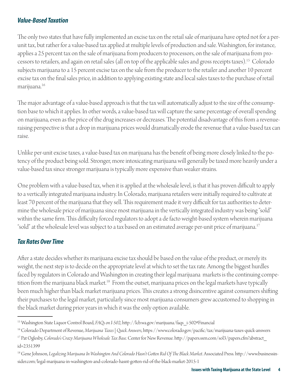#### *Value-Based Taxation*

The only two states that have fully implemented an excise tax on the retail sale of marijuana have opted not for a perunit tax, but rather for a value-based tax applied at multiple levels of production and sale. Washington, for instance, applies a 25 percent tax on the sale of marijuana from producers to processors, on the sale of marijuana from processors to retailers, and again on retail sales (all on top of the applicable sales and gross receipts taxes).15 Colorado subjects marijuana to a 15 percent excise tax on the sale from the producer to the retailer and another 10 percent excise tax on the final sales price, in addition to applying existing state and local sales taxes to the purchase of retail marijuana.16

The major advantage of a value-based approach is that the tax will automatically adjust to the size of the consumption base to which it applies. In other words, a value-based tax will capture the same percentage of overall spending on marijuana, even as the price of the drug increases or decreases. The potential disadvantage of this from a revenueraising perspective is that a drop in marijuana prices would dramatically erode the revenue that a value-based tax can raise.

Unlike per-unit excise taxes, a value-based tax on marijuana has the benefi t of being more closely linked to the potency of the product being sold. Stronger, more intoxicating marijuana will generally be taxed more heavily under a value-based tax since stronger marijuana is typically more expensive than weaker strains.

One problem with a value-based tax, when it is applied at the wholesale level, is that it has proven difficult to apply to a vertically integrated marijuana industry. In Colorado, marijuana retailers were initially required to cultivate at least 70 percent of the marijuana that they sell. This requirement made it very difficult for tax authorities to determine the wholesale price of marijuana since most marijuana in the vertically integrated industry was being "sold" within the same firm. This difficulty forced regulators to adopt a de facto weight-based system wherein marijuana "sold" at the wholesale level was subject to a tax based on an estimated average per-unit price of marijuana.<sup>17</sup>

#### *Tax Rates Over Time*

After a state decides whether its marijuana excise tax should be based on the value of the product, or merely its weight, the next step is to decide on the appropriate level at which to set the tax rate. Among the biggest hurdles faced by regulators in Colorado and Washington in creating their legal marijuana markets is the continuing competition from the marijuana black market.<sup>18</sup> From the outset, marijuana prices on the legal markets have typically been much higher than black market marijuana prices. This creates a strong disincentive against consumers shifting their purchases to the legal market, particularly since most marijuana consumers grew accustomed to shopping in the black market during prior years in which it was the only option available.

<sup>&</sup>lt;sup>15</sup> Washington State Liquor Control Board, *FAQs on I-502*, http://lcb.wa.gov/marijuana/faqs\_i-502#Financial

<sup>&</sup>lt;sup>16</sup> Colorado Department of Revenue, Marijuana Taxes | Quick Answers, https://www.colorado.gov/pacific/tax/marijuana-taxes-quick-answers

<sup>&</sup>lt;sup>17</sup> Pat Oglesby, *Colorado's Crazy Marijuana Wholesale Tax Base*. Center for New Revenue. http://papers.ssrn.com/sol3/papers.cfm?abstract\_ id=2351399

<sup>&</sup>lt;sup>18</sup> Gene Johnson, Legalizing Marijuana In Washington And Colorado Hasn't Gotten Rid Of The Black Market. Associated Press. http://www.businessinsider.com/legal-marijuana-in-washington-and-colorado-hasnt-gotten-rid-of-the-black-market-2015-1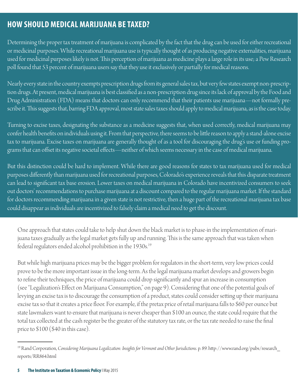## **HOW SHOULD MEDICAL MARIJUANA BE TAXED?**

Determining the proper tax treatment of marijuana is complicated by the fact that the drug can be used for either recreational or medicinal purposes. While recreational marijuana use is typically thought of as producing negative externalities, marijuana used for medicinal purposes likely is not. This perception of marijuana as medicine plays a large role in its use; a Pew Research poll found that 53 percent of marijuana users say that they use it exclusively or partially for medical reasons.

Nearly every state in the country exempts prescription drugs from its general sales tax, but very few states exempt non-prescription drugs. At present, medical marijuana is best classified as a non-prescription drug since its lack of approval by the Food and Drug Administration (FDA) means that doctors can only recommend that their patients use marijuana—not formally prescribe it. This suggests that, barring FDA approval, most state sales taxes should apply to medical marijuana, as is the case today.

Turning to excise taxes, designating the substance as a medicine suggests that, when used correctly, medical marijuana may confer health benefits on individuals using it. From that perspective, there seems to be little reason to apply a stand-alone excise tax to marijuana. Excise taxes on marijuana are generally thought of as a tool for discouraging the drug's use or funding programs that can offset its negative societal effects—neither of which seems necessary in the case of medical marijuana.

But this distinction could be hard to implement. While there are good reasons for states to tax marijuana used for medical purposes differently than marijuana used for recreational purposes, Colorado's experience reveals that this disparate treatment can lead to significant tax base erosion. Lower taxes on medical marijuana in Colorado have incentivized consumers to seek out doctors' recommendations to purchase marijuana at a discount compared to the regular marijuana market. If the standard for doctors recommending marijuana in a given state is not restrictive, then a huge part of the recreational marijuana tax base could disappear as individuals are incentivized to falsely claim a medical need to get the discount.

One approach that states could take to help shut down the black market is to phase-in the implementation of marijuana taxes gradually as the legal market gets fully up and running. This is the same approach that was taken when federal regulators ended alcohol prohibition in the 1930s.<sup>19</sup>

But while high marijuana prices may be the bigger problem for regulators in the short-term, very low prices could prove to be the more important issue in the long-term. As the legal marijuana market develops and growers begin to refine their techniques, the price of marijuana could drop significantly and spur an increase in consumption (see "Legalization's Effect on Marijuana Consumption," on page 9). Considering that one of the potential goals of levying an excise tax is to discourage the consumption of a product, states could consider setting up their marijuana excise tax so that it creates a price floor. For example, if the pretax price of retail marijuana falls to \$60 per ounce but state lawmakers want to ensure that marijuana is never cheaper than \$100 an ounce, the state could require that the total tax collected at the cash register be the greater of the statutory tax rate, or the tax rate needed to raise the final price to \$100 (\$40 in this case).

<sup>&</sup>lt;sup>19</sup> Rand Corporation, *Considering Marijuana Legalization: Insights for Vermont and Other Jurisdictions*. p. 89. http://www.rand.org/pubs/research\_ reports/RR864.html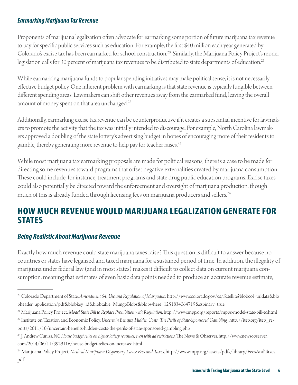#### *Earmarking Marijuana Tax Revenue*

Proponents of marijuana legalization often advocate for earmarking some portion of future marijuana tax revenue to pay for specific public services such as education. For example, the first \$40 million each year generated by Colorado's excise tax has been earmarked for school construction.<sup>20</sup> Similarly, the Marijuana Policy Project's model legislation calls for 30 percent of marijuana tax revenues to be distributed to state departments of education.<sup>21</sup>

While earmarking marijuana funds to popular spending initiatives may make political sense, it is not necessarily effective budget policy. One inherent problem with earmarking is that state revenue is typically fungible between different spending areas. Lawmakers can shift other revenues away from the earmarked fund, leaving the overall amount of money spent on that area unchanged.<sup>22</sup>

Additionally, earmarking excise tax revenue can be counterproductive if it creates a substantial incentive for lawmakers to promote the activity that the tax was initially intended to discourage. For example, North Carolina lawmakers approved a doubling of the state lottery's advertising budget in hopes of encouraging more of their residents to gamble, thereby generating more revenue to help pay for teacher raises.<sup>23</sup>

While most marijuana tax earmarking proposals are made for political reasons, there is a case to be made for directing some revenues toward programs that offset negative externalities created by marijuana consumption. These could include, for instance, treatment programs and state drug public education programs. Excise taxes could also potentially be directed toward the enforcement and oversight of marijuana production, though much of this is already funded through licensing fees on marijuana producers and sellers.<sup>24</sup>

## **HOW MUCH REVENUE WOULD MARIJUANA LEGALIZATION GENERATE FOR STATES**

#### *Being Realistic About Marijuana Revenue*

Exactly how much revenue could state marijuana taxes raise? This question is difficult to answer because no countries or states have legalized and taxed marijuana for a sustained period of time. In addition, the illegality of marijuana under federal law (and in most states) makes it difficult to collect data on current marijuana consumption, meaning that estimates of even basic data points needed to produce an accurate revenue estimate,

<sup>&</sup>lt;sup>20</sup> Colorado Department of State, Amendment 64: Use and Regulation of Marijuana. http://www.colorado.gov/cs/Satellite?blobcol=urldata&blo bheader=application/pdf&blobkey=id&blobtable=MungoBlobs&blobwhere=1251834064719&ssbinary=true

<sup>&</sup>lt;sup>21</sup> Marijuana Policy Project, Model State Bill to Replace Prohibition with Regulation, http://www.mpp.org/reports/mpps-model-state-bill-to.html <sup>22</sup> Institute on Taxation and Economic Policy, Uncertain Benefits, Hidden Costs: The Perils of State-Sponsored Gambling, http://itep.org/itep\_re-

ports/2011/10/uncertain-benefits-hidden-costs-the-perils-of-state-sponsored-gambling.php

<sup>&</sup>lt;sup>23</sup> J. Andrew Curliss, *NC House budget relies on higher lottery revenues, even with ad restrictions*. The News & Observer. http://www.newsobserver. com/2014/06/11/3929116/house-budget-relies-on-increased.html

<sup>&</sup>lt;sup>24</sup> Marijuana Policy Project, *Medical Marijuana Dispensary Laws: Fees and Taxes*, http://www.mpp.org/assets/pdfs/library/FeesAndTaxes. pdf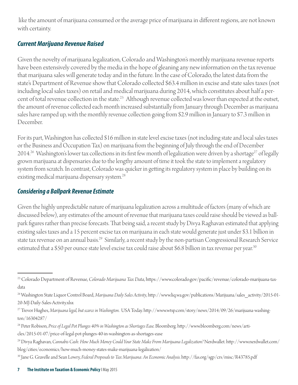like the amount of marijuana consumed or the average price of marijuana in different regions, are not known with certainty.

#### *Current Marijuana Revenue Raised*

Given the novelty of marijuana legalization, Colorado and Washington's monthly marijuana revenue reports have been extensively covered by the media in the hope of gleaning any new information on the tax revenue that marijuana sales will generate today and in the future. In the case of Colorado, the latest data from the state's Department of Revenue show that Colorado collected \$63.4 million in excise and state sales taxes (not including local sales taxes) on retail and medical marijuana during 2014, which constitutes about half a percent of total revenue collection in the state.25 Although revenue collected was lower than expected at the outset, the amount of revenue collected each month increased substantially from January through December as marijuana sales have ramped up, with the monthly revenue collection going from \$2.9 million in January to \$7.3 million in December.

For its part, Washington has collected \$16 million in state level excise taxes (not including state and local sales taxes or the Business and Occupation Tax) on marijuana from the beginning of July through the end of December 2014.<sup>26</sup> Washington's lower tax collections in its first few month of legalization were driven by a shortage<sup>27</sup> of legally grown marijuana at dispensaries due to the lengthy amount of time it took the state to implement a regulatory system from scratch. In contrast, Colorado was quicker in getting its regulatory system in place by building on its existing medical marijuana dispensary system.<sup>28</sup>

#### *Considering a Ballpark Revenue Estimate*

Given the highly unpredictable nature of marijuana legalization across a multitude of factors (many of which are discussed below), any estimates of the amount of revenue that marijuana taxes could raise should be viewed as ballpark figures rather than precise forecasts. That being said, a recent study by Divya Raghavan estimated that applying existing sales taxes and a 15 percent excise tax on marijuana in each state would generate just under \$3.1 billion in state tax revenue on an annual basis.<sup>29</sup> Similarly, a recent study by the non-partisan Congressional Research Service estimated that a \$50 per ounce state level excise tax could raise about \$6.8 billion in tax revenue per year.<sup>30</sup>

<sup>29</sup> Divya Raghavan, *Cannabis Cash: How Much Money Could Your State Make From Marijuana Legalization? Nerdwallet. http://www.nerdwallet.com/* blog/cities/economics/how-much-money-states-make-marijuana-legalization/

<sup>&</sup>lt;sup>25</sup> Colorado Department of Revenue, *Colorado Marijuana Tax Data*, https://www.colorado.gov/pacific/revenue/colorado-marijuana-taxdata

<sup>&</sup>lt;sup>26</sup> Washington State Liquor Control Board, *Marijuana Daily Sales Activity*, http://www.liq.wa.gov/publications/Marijuana/sales\_activity/2015-01-20-MJ-Daily-Sales-Activity.xlsx

<sup>&</sup>lt;sup>27</sup> Trevor Hughes, Marijuana legal, but scarce in Washington. USA Today. http://www.wtsp.com/story/news/2014/09/26/marijuana-washington/16304287/

<sup>&</sup>lt;sup>28</sup> Peter Robison, Price of Legal Pot Plunges 40% in Washington as Shortages Ease. Bloomberg. http://www.bloomberg.com/news/articles/2015-01-07/price-of-legal-pot-plunges-40-in-washington-as-shortages-ease

<sup>&</sup>lt;sup>30</sup> Jane G. Gravelle and Sean Lowry, *Federal Proposals to Tax Marijuana: An Economic Analysis*. http://fas.org/sgp/crs/misc/R43785.pdf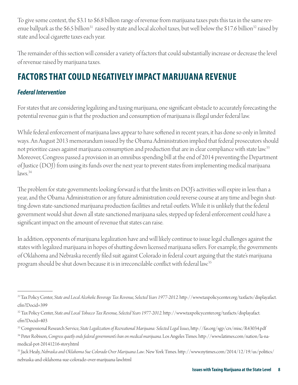To give some context, the \$3.1 to \$6.8 billion range of revenue from marijuana taxes puts this tax in the same revenue ballpark as the \$6.5 billion<sup>31</sup> raised by state and local alcohol taxes, but well below the \$17.6 billion<sup>32</sup> raised by state and local cigarette taxes each year.

The remainder of this section will consider a variety of factors that could substantially increase or decrease the level of revenue raised by marijuana taxes.

# **FACTORS THAT COULD NEGATIVELY IMPACT MARIJUANA REVENUE**

#### *Federal Intervention*

For states that are considering legalizing and taxing marijuana, one significant obstacle to accurately forecasting the potential revenue gain is that the production and consumption of marijuana is illegal under federal law.

While federal enforcement of marijuana laws appear to have softened in recent years, it has done so only in limited ways. An August 2013 memorandum issued by the Obama Administration implied that federal prosecutors should not prioritize cases against marijuana consumption and production that are in clear compliance with state law.<sup>33</sup> Moreover, Congress passed a provision in an omnibus spending bill at the end of 2014 preventing the Department of Justice (DOJ) from using its funds over the next year to prevent states from implementing medical marijuana  $\text{laws}$ <sup>34</sup>

The problem for state governments looking forward is that the limits on DOJ's activities will expire in less than a year, and the Obama Administration or any future administration could reverse course at any time and begin shutting down state-sanctioned marijuana production facilities and retail outlets. While it is unlikely that the federal government would shut down all state sanctioned marijuana sales, stepped up federal enforcement could have a significant impact on the amount of revenue that states can raise.

In addition, opponents of marijuana legalization have and will likely continue to issue legal challenges against the states with legalized marijuana in hopes of shutting down licensed marijuana sellers. For example, the governments of Oklahoma and Nebraska recently fi led suit against Colorado in federal court arguing that the state's marijuana program should be shut down because it is in irreconcilable conflict with federal law.<sup>35</sup>

<sup>&</sup>lt;sup>31</sup>Tax Policy Center, State and Local Alcoholic Beverage Tax Revenue, Selected Years 1977-2012. http://www.taxpolicycenter.org/taxfacts/displayafact. cfm?Docid=399

<sup>&</sup>lt;sup>32</sup> Tax Policy Center, State and Local Tobacco Tax Revenue, Selected Years 1977-2012. http://www.taxpolicycenter.org/taxfacts/displayafact. cfm?Docid=403

<sup>&</sup>lt;sup>33</sup> Congressional Research Service, State Legalization of Recreational Marijuana: Selected Legal Issues, http://fas.org/sgp/crs/misc/R43034.pdf

<sup>&</sup>lt;sup>34</sup> Peter Robison, *Congress quietly ends federal government's ban on medical marijuana*. Los Angeles Times. http://www.latimes.com/nation/la-namedical-pot-20141216-story.html

<sup>&</sup>lt;sup>35</sup> Jack Healy, *Nebraska and Oklahoma Sue Colorado Over Marijuana Law*. New York Times. http://www.nytimes.com/2014/12/19/us/politics/ nebraska-and-oklahoma-sue-colorado-over-marijuana-law.html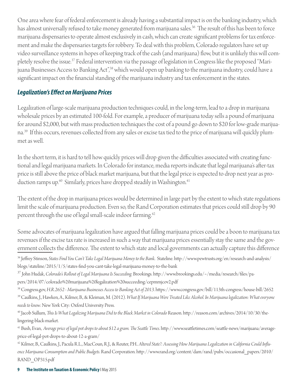One area where fear of federal enforcement is already having a substantial impact is on the banking industry, which has almost universally refused to take money generated from marijuana sales.<sup>36</sup> The result of this has been to force marijuana dispensaries to operate almost exclusively in cash, which can create significant problems for tax enforcement and make the dispensaries targets for robbery. To deal with this problem, Colorado regulators have set up video surveillance systems in hopes of keeping track of the cash (and marijuana) flow, but it is unlikely this will completely resolve the issue.37 Federal intervention via the passage of legislation in Congress like the proposed "Marijuana Businesses Access to Banking Act",<sup>38</sup> which would open up banking to the marijuana industry, could have a significant impact on the financial standing of the marijuana industry and tax enforcement in the states.

#### *Legalization's Eff ect on Marijuana Prices*

Legalization of large-scale marijuana production techniques could, in the long-term, lead to a drop in marijuana wholesale prices by an estimated 100-fold. For example, a producer of marijuana today sells a pound of marijuana for around \$2,000, but with mass production techniques the cost of a pound go down to \$20 for low-grade marijuana.39 If this occurs, revenues collected from any sales or excise tax tied to the price of marijuana will quickly plummet as well.

In the short term, it is hard to tell how quickly prices will drop given the difficulties associated with creating functional and legal marijuana markets. In Colorado for instance, media reports indicate that legal marijuana's after-tax price is still above the price of black market marijuana, but that the legal price is expected to drop next year as production ramps up.<sup>40</sup> Similarly, prices have dropped steadily in Washington.<sup>41</sup>

The extent of the drop in marijuana prices would be determined in large part by the extent to which state regulations limit the scale of marijuana production. Even so, the Rand Corporation estimates that prices could still drop by 90 percent through the use of legal small-scale indoor farming.42

Some advocates of marijuana legalization have argued that falling marijuana prices could be a boon to marijuana tax revenues if the excise tax rate is increased in such a way that marijuana prices essentially stay the same and the government collects the difference. The extent to which state and local governments can actually capture this difference

<sup>36</sup> Jeffrey Stinson, *States Find You Can't Take Legal Marijuana Money to the Bank. Stateline. http://www.pewtrusts.org/en/research-and-analysis/* blogs/stateline/2015/1/5/states-find-you-cant-take-legal-marijuana-money-to-the-bank

<sup>37</sup> John Hudak, *Colorado's Rollout of Legal Marijuana Is Succeeding.* Brookings. http://www.brookings.edu/~/media/research/files/papers/2014/07/colorado%20marijuana%20legalization%20succeeding/cepmmjcov2.pdf

38 Congress.gov, *H.R.2652 - Marijuana Businesses Access to Banking Act of 2013.* https://www.congress.gov/bill/113th-congress/house-bill/2652 39 Caulkins, J., Hawken, A., Kilmer, B., & Kleiman, M. (2012). *What If Marijuana Were Treated Like Alcohol. In Marijuana legalization: What everyone needs to know*. New York City: Oxford University Press.

<sup>40</sup> Jacob Sullum, *This Is What Legalizing Marijuana Did to the Black Market in Colorado* Reason. http://reason.com/archives/2014/10/30/thelingering-black-market.

<sup>41</sup> Bush, Evan, Average price of legal pot drops to about \$12 a gram. The Seattle Times. http://www.seattletimes.com/seattle-news/marijuana/averageprice-of-legal-pot-drops-to-about-12-a-gram/

<sup>42</sup> Kilmer, B., Caulkins, J., Pacula R.L., MacCoun, R.J., & Reuter, P.H.. *Altered State?: Assessing How Marijuana Legalization in California Could Influ*ence Marijuana Consumption and Public Budgets. Rand Corporation. http://www.rand.org/content/dam/rand/pubs/occasional\_papers/2010/ RAND\_OP315.pdf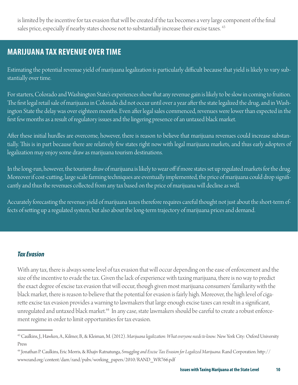is limited by the incentive for tax evasion that will be created if the tax becomes a very large component of the final sales price, especially if nearby states choose not to substantially increase their excise taxes. <sup>43</sup>

## **MARIJUANA TAX REVENUE OVER TIME**

Estimating the potential revenue yield of marijuana legalization is particularly difficult because that yield is likely to vary substantially over time.

For starters, Colorado and Washington State's experiences show that any revenue gain is likely to be slow in coming to fruition. The first legal retail sale of marijuana in Colorado did not occur until over a year after the state legalized the drug, and in Washington State the delay was over eighteen months. Even after legal sales commenced, revenues were lower than expected in the first few months as a result of regulatory issues and the lingering presence of an untaxed black market.

After these initial hurdles are overcome, however, there is reason to believe that marijuana revenues could increase substantially. This is in part because there are relatively few states right now with legal marijuana markets, and thus early adopters of legalization may enjoy some draw as marijuana tourism destinations.

In the long-run, however, the tourism draw of marijuana is likely to wear off if more states set up regulated markets for the drug. Moreover if cost-cutting, large scale farming techniques are eventually implemented, the price of marijuana could drop significantly and thus the revenues collected from any tax based on the price of marijuana will decline as well.

Accurately forecasting the revenue yield of marijuana taxes therefore requires careful thought not just about the short-term effects of setting up a regulated system, but also about the long-term trajectory of marijuana prices and demand.

#### *Tax Evasion*

With any tax, there is always some level of tax evasion that will occur depending on the ease of enforcement and the size of the incentive to evade the tax. Given the lack of experience with taxing marijuana, there is no way to predict the exact degree of excise tax evasion that will occur, though given most marijuana consumers' familiarity with the black market, there is reason to believe that the potential for evasion is fairly high. Moreover, the high level of cigarette excise tax evasion provides a warning to lawmakers that large enough excise taxes can result in a significant, unregulated and untaxed black market.<sup>44</sup> In any case, state lawmakers should be careful to create a robust enforcement regime in order to limit opportunities for tax evasion.

<sup>43</sup> Caulkins, J., Hawken, A., Kilmer, B., & Kleiman, M. (2012). *Marijuana legalization: What everyone needs to know*. New York City: Oxford University Press

<sup>&</sup>lt;sup>44</sup> Jonathan P. Caulkins, Eric Morris, & Rhajiv Ratnatunga, *Smuggling and Excise Tax Evasion for Legalized Marijuana*. Rand Corporation. http:// www.rand.org/content/dam/rand/pubs/working\_papers/2010/RAND\_WR766.pdf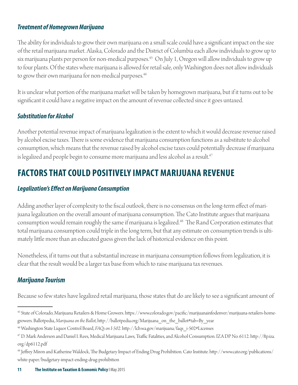#### *Treatment of Homegrown Marijuana*

The ability for individuals to grow their own marijuana on a small scale could have a significant impact on the size of the retail marijuana market. Alaska, Colorado and the District of Columbia each allow individuals to grow up to six marijuana plants per person for non-medical purposes.<sup>45</sup> On July 1, Oregon will allow individuals to grow up to four plants. Of the states where marijuana is allowed for retail sale, only Washington does not allow individuals to grow their own marijuana for non-medical purposes.<sup>46</sup>

It is unclear what portion of the marijuana market will be taken by homegrown marijuana, but if it turns out to be significant it could have a negative impact on the amount of revenue collected since it goes untaxed.

#### *Substitution for Alcohol*

Another potential revenue impact of marijuana legalization is the extent to which it would decrease revenue raised by alcohol excise taxes. There is some evidence that marijuana consumption functions as a substitute to alcohol consumption, which means that the revenue raised by alcohol excise taxes could potentially decrease if marijuana is legalized and people begin to consume more marijuana and less alcohol as a result.<sup>47</sup>

## **FACTORS THAT COULD POSITIVELY IMPACT MARIJUANA REVENUE**

#### *Legalization's Eff ect on Marijuana Consumption*

Adding another layer of complexity to the fiscal outlook, there is no consensus on the long-term effect of marijuana legalization on the overall amount of marijuana consumption. The Cato Institute argues that marijuana consumption would remain roughly the same if marijuana is legalized.<sup>48</sup> The Rand Corporation estimates that total marijuana consumption could triple in the long term, but that any estimate on consumption trends is ultimately little more than an educated guess given the lack of historical evidence on this point.

Nonetheless, if it turns out that a substantial increase in marijuana consumption follows from legalization, it is clear that the result would be a larger tax base from which to raise marijuana tax revenues.

### *Marijuana Tourism*

Because so few states have legalized retail marijuana, those states that do are likely to see a significant amount of

<sup>&</sup>lt;sup>45</sup> State of Colorado, Marijuana Retailers & Home Growers. https://www.colorado.gov/pacific/marijuanainfodenver/marijuana-retailers-homegrowers. Ballotpedia, *Marijuana on the Ballot*, http://ballotpedia.org/Marijuana\_on\_the\_ballot#tab=By\_year

<sup>&</sup>lt;sup>46</sup> Washington State Liquor Control Board, FAQs on I-502. http://lcb.wa.gov/marijuana/faqs\_i-502#Licenses

<sup>&</sup>lt;sup>47</sup> D. Mark Anderson and Daniel I. Rees, Medical Marijuana Laws, Traffic Fatalities, and Alcohol Consumption. IZA DP No. 6112. http://ftp.iza. org/dp6112.pdf

<sup>&</sup>lt;sup>48</sup> Jeffrey Miron and Katherine Waldock, The Budgetary Impact of Ending Drug Prohibition. Cato Institute. http://www.cato.org/publications/ white-paper/budgetary-impact-ending-drug-prohibition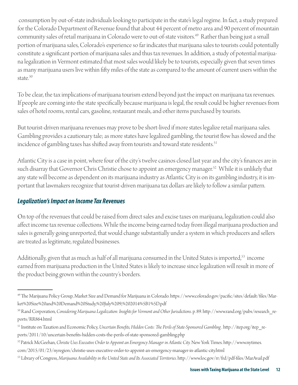consumption by out-of-state individuals looking to participate in the state's legal regime. In fact, a study prepared for the Colorado Department of Revenue found that about 44 percent of metro area and 90 percent of mountain community sales of retail marijuana in Colorado were to out-of-state visitors.<sup>49</sup> Rather than being just a small portion of marijuana sales, Colorado's experience so far indicates that marijuana sales to tourists could potentially constitute a significant portion of marijuana sales and thus tax revenues. In addition, a study of potential marijuana legalization in Vermont estimated that most sales would likely be to tourists, especially given that seven times as many marijuana users live within fifty miles of the state as compared to the amount of current users within the state.<sup>50</sup>

To be clear, the tax implications of marijuana tourism extend beyond just the impact on marijuana tax revenues. If people are coming into the state specifically because marijuana is legal, the result could be higher revenues from sales of hotel rooms, rental cars, gasoline, restaurant meals, and other items purchased by tourists.

But tourist-driven marijuana revenues may prove to be short-lived if more states legalize retail marijuana sales. Gambling provides a cautionary tale; as more states have legalized gambling, the tourist flow has slowed and the incidence of gambling taxes has shifted away from tourists and toward state residents.<sup>51</sup>

Atlantic City is a case in point, where four of the city's twelve casinos closed last year and the city's finances are in such disarray that Governor Chris Christie chose to appoint an emergency manager.<sup>52</sup> While it is unlikely that any state will become as dependent on its marijuana industry as Atlantic City is on its gambling industry, it is important that lawmakers recognize that tourist-driven marijuana tax dollars are likely to follow a similar pattern.

#### *Legalization's Impact on Income Tax Revenues*

On top of the revenues that could be raised from direct sales and excise taxes on marijuana, legalization could also affect income tax revenue collections. While the income being earned today from illegal marijuana production and sales is generally going unreported, that would change substantially under a system in which producers and sellers are treated as legitimate, regulated businesses.

Additionally, given that as much as half of all marijuana consumed in the United States is imported,<sup>53</sup> income earned from marijuana production in the United States is likely to increase since legalization will result in more of the product being grown within the country's borders.

<sup>&</sup>lt;sup>49</sup> The Marijuana Policy Group, Market Size and Demand for Marijuana in Colorado. https://www.colorado.gov/pacific/sites/default/files/Market%20Size%20and%20Demand%20Study,%20July%209,%202014%5B1%5D.pdf

<sup>&</sup>lt;sup>50</sup> Rand Corporation, *Considering Marijuana Legalization: Insights for Vermont and Other Jurisdictions*. p. 89. http://www.rand.org/pubs/research\_reports/RR864.html

<sup>&</sup>lt;sup>51</sup> Institute on Taxation and Economic Policy, Uncertain Benefits, Hidden Costs: The Perils of State-Sponsored Gambling . http://itep.org/itep\_reports/2011/10/uncertain-benefits-hidden-costs-the-perils-of-state-sponsored-gambling.php

<sup>52</sup> Patrick McGeehan, *Christie Uses Executive Order to Appoint an Emergency Manager in Atlantic City*. New York Times. http://www.nytimes.

com/2015/01/23/nyregion/christie-uses-executive-order-to-appoint-an-emergency-manager-in-atlantic-city.html

<sup>53</sup> Library of Congress, *Marijuana Availability in the United State and Its Associated Territories*. http://www.loc.gov/rr/frd/pdf-files/MarAvail.pdf